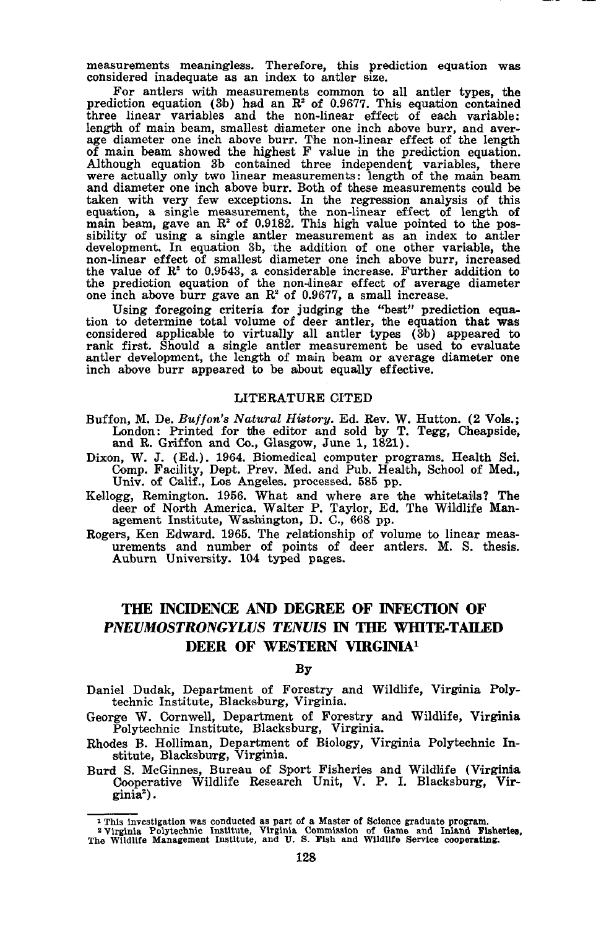measurements meaningless. Therefore, this prediction equation was considered inadequate as an index to antler size.

For antlers with measurements common to all antler types, the prediction equation (3b) had an  $\mathbb{R}^2$  of 0.9677. This equation contained  $three$  linear variables and the non-linear effect of each variable: length of main beam, smallest diameter one inch above burr, and aver- age diameter one inch above burr. The non-linear effect of the length of main beam showed the highest F value in the prediction equation. Although equation 3b contained three independent variables, there were actually only two linear measurements: length of the main beam and diameter one inch above burr. Both of these measurements could be taken with very few exceptions. In the regression analysis of this equation, a single measurement, the non-linear effect of length of main beam, gave an R<sup>2</sup> of 0.9182. This high value pointed to the possibility of using a single antler measurement as an index to antler development. In equation 3b, the addition of one other variable, the non-linear effect of smallest diameter one inch above burr, increased the value of the prediction equation of the non-dinear effect of average diameter one inch above burr gave an  $\mathbb{R}^2$  of 0.9677, a small increase.

Using foregoing criteria for judging the "best" prediction equation to determine total volume of deer antler, the equation that was considered applicable to virtually all antler types (3b) appeared to rank first. Should a single antler measurement be used to evaluate antler development, the length of main beam or average diameter one inch above burr appeared to be about equally effective.

## LITERATURE CITED

- Buffon, M. De. *Bu//on's Natural History.* Ed. Rev. W. Hutton. (2 Vots.; London: Printed for the editor and sold by T. Tegg, Cheapside, and R. Griffon and Co., Glasgow, June 1, 1821).
- Dixon, W. J. (Ed.). 1964. Biomedical computer programs. Health Sci. Comp. Facility, Dept. Prev. Med. and Pub. Health, School of Med., Univ. of Calif., Los Angeles. processed. 585 pp.
- Kellogg, Remington. 1956. What and where are the whitetails? The deer of North America. Walter P. Taylor, Ed. The Wildlife Man-agement Institute, Washington, D. C., 668 pp.
- Rogers, Ken Edward. 1965. The relationship of volume to linear meas- urements and number of points of deer antlers. M. S. thesis. Auburn University. 104 typed pages.

# **THE INCIDENCE AND DEGREE OF INFECfION OF PNEUMOSTRONGYLUS TENUIS IN THE WHITE-TAILED DEER OF WESTERN VIRGINIAl**

## By

- Daniel Dudak, Department of Forestry and Wildlife, Virginia Polytechnic Institute, Blacksburg, Virginia.
- George W. Cornwell, Department of Forestry and Wildlife, Virginia Polytechnic Institute, Blacksburg, Virginia.
- Rhodes B. Holliman, Department of Biology, Virginia Polytechnic Institute, Blacksburg, Virginia.
- Burd S. McGinnes, Bureau of Sport Fisheries and Wildlife (Virginia Oooperative Wildlife Research Unit, V. P. 1. Blacksburg, Virginia") .

I This investigation was conducted as part of a Master of Science graduate program.<br><sup>2</sup> Virginia Polytechnic Institute, Virginia Commission of Game and Iniand Fisheries,<br>The Wildlife Management Institute, and U. S. Fish an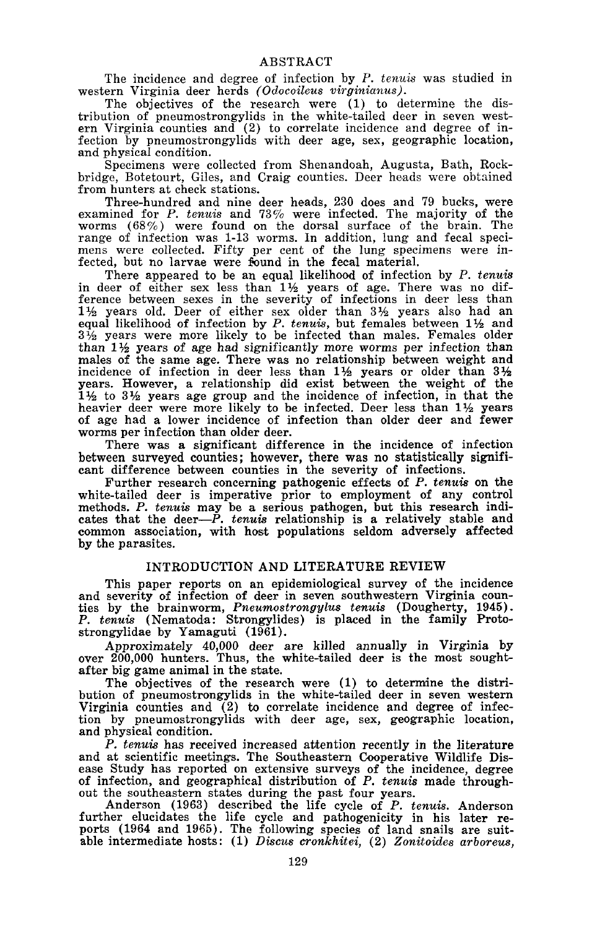The incidence and degree of infection by *P. tenuis* was studied in western Virginia deer herds *(Odocoileus virginianus).*

The objectives of the research were (1) to determine the distribution of pneumostrongylids in the white-tailed deer in seven west- ern Virginia counties and (2) to correlate incidence and degree of infection by pneumostrongylids with deer age, sex, geographic location, and physical condition.

Specimens were collected from Shenandoah, Augusta, Bath, Rockbridge, Botetourt, Giles, and Craig counties. Deer heads were obtained

from hunters at check stations.<br>Three-hundred and nine deer heads, 230 does and 79 bucks, were examined for *P. tenuis* and 73% were infected. The majority of the worms  $(68\%)$  were found on the dorsal surface of the brain. The range of infection was 1-13 worms. In addition, lung and fecal specirange of infection was 1-13 worms. In addition, lung and fecal speci- mens were collected. Fifty per cent of the lung specimens were infected, but no larvae were found in the fecal material.

There appeared to be an equal likelihood of infection by *P. tenuis* in deer of either sex less than  $1\frac{1}{2}$  years of age. There was no difference between sexes in the severity of infections in deer less than  $1\frac{1}{2}$  years old. Deer of either sex older than  $3\frac{1}{2}$  years also had an equal likelihood of infection by *P. tenuis*, but females between 11<sup>2</sup> and  $3\frac{1}{2}$  years were more likely to be infected than males. Females older than  $1\frac{1}{2}$  years of age had significantly more worms per infection than males of the same age. There was no relationship between weight and incidence of infection in deer less than  $1\frac{1}{2}$  years or older than  $3\frac{1}{2}$ years. However, a relationship did exist between the weight of the  $1\frac{1}{2}$  to  $3\frac{1}{2}$  years age group and the incidence of infection, in that the heavier deer were more likely to be infected. Deer less than  $1\frac{1}{2}$  years of age had <sup>a</sup> lower incidence of infection than older deer and fewer worms per infection than older deer.

There was a significant difference in the incidence of infection between surveyed counties; however, there was no statistically significant difference between counties in the severity of infections.

Further research concerning pathogenic effects of *P. tenuis* on the white-tailed deer is imperative prior to *employment* of any control methods. P. tenuis may be a serious pathogen, but this research indicates that the deer—P. tenuis relationship is a relatively stable and common association, with host populations seldom adversely affected by the parasites.

## INTRODUGTION AND LITERATURE REVIEW

This paper reports on an epidemiological survey of the incidence and severity of infection of deer in seven southwestern Virginia coun- ties by the brainworm, *Pneumostrongylus tenuis* (Dougherty, 1945). *P. tenuis* (Nematoda: Strongylides) is placed in the family Protostrongylidae by Yamaguti (1961).

Approximately 40,000 deer are killed annually in Virginia by over 200,000 hunters. Thus, the white-tailed deer is the most soughtafter big game animal in the state.

The objectives of the research were (1) to determine the distribution of pneumostrongylids in the white-tailed deer in seven western Virginia counties and (2) to correlate incidence and degree of infection by pneumostrongylids with deer age, sex, geographic location, and physical condition.

*P. tenuis* has received increased attention recently in the literature ease Study has reported on extensive surveys of the incidence, degree of infection, and geographical distribution of *P. tenuis* made throughout the southeastern states during the past four years.

Anderson (1963) described the life cycle of *P. tcnuis.* Anderson further elucidates the life cycle and pathogenicity in his later re- ports (1964 and 1965). The following species of land snails are suitable intermediate hosts: (1) *Discus cronkhitci,* (2) *Zonitoidcs arboreus,*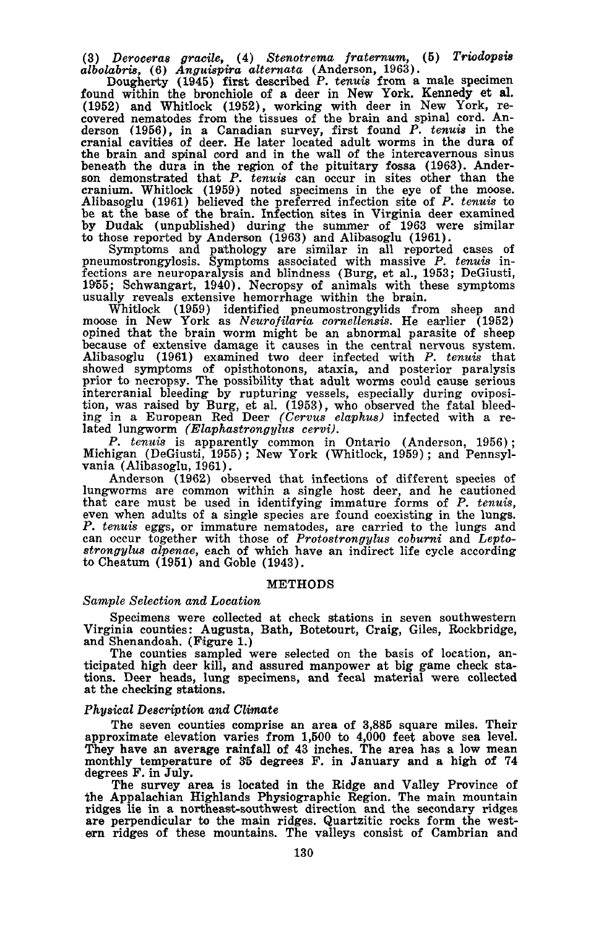(3) *Deroceras gracile,* (4) *Stenotrema fraternum,* (5) *Triodopsis albolabris,* (6) *Anguispira alternata* (Anderson, 1963).

Dougherty (1945) first described P. *tenuis* from a male specimen found within the bronchiole of a deer in New York. Kennedy et aI. (1952) and Whitlock (1952), working with deer in New York, re-<br>covered nematodes from the tissues of the brain and spinal cord. Anderson (1956), in a Canadian survey, first found *P. tenuis* in the cranial cavities of deer. He later located adult worms in the dura of the brain and spinal cord and in the wall of the intercavernous sinus beneath the dura in the region of the pituitary fossa (1963). Anderson demonstrated that *P. tenuis* can occur in sites other than the cranium. Whitlock (1959) noted specimens in the eye of the moose. Alibasoglu (1961) believed the preferred infection site of *P. tenuis* to be at the base of the brain. Infection sites in Virginia deer examined by Dudak (unpublished) during the summer of 1963 were similar to those reported by Anderson (1963) and Alibasoglu (1961).

Symptoms and pathology are similar in all reported cases of pneumostrongylosis. Symptoms associated with massive *P. tenuis* infections are neuroparalysis and blindness (Burg, et aI., 1953; DeGiusti, 1955; Schwangart, 1940). Necropsy of animals with these symptoms usually reveals extensive hemorrhage within the brain.

Whitlock (1959) identified pneumostrongylids from sheep and moose in New York as *Neurofilaria cornellensis.* He earlier (1952) opined that the brain worm might be an abnormal parasite of sheep because of extensive damage it causes in the central nervous system. Alibasoglu (1961) examined two deer infected with *P. tenuis* that showed symptoms of opisthotonons, ataxia, and posterior paralysis prior to necropsy. The possibility that adult worms could cause serious intercranial bleeding by rupturing vessels, especially during oviposition, was raised by Burg, et a1. (1953), who observed the fatal bleeding in <sup>a</sup> European Red Deer *(Cervus elaphus)* infected with <sup>a</sup> re- lated lungworm *(Elaphastrongylus cervi).*

*P. tenuis* is apparently common in Ontario (Anderson, 1956); Michigan (DeGiusti, 1955); New York (Whitlock, 1959); and Pennsylvania (Alibasoglu, 1961).

Anderson (1962) observed that infections of different species of lungworms are common within a single host deer, and he cautioned that care must be used in identifying immature forms of *P. tenuis,* even when adults of <sup>a</sup> single species are found coexisting in the lungs. *P. tenuis* eggs, or immature nematodes, are carried to the lungs and can occur together with those of *Protostrongylus coburni* and *Leptostrongylus alpenae,* each of which have an indirect life cycle according to Cheatum (1951) and Goble (1943).

#### METHODS

## *Sample Selection and Location*

Specimens were collected at check stations in seven southwestern Virginia counties: Augusta, Bath, Botetourt, Craig, Giles, Rockbridge, and Shenandoah. (Figure 1.)<br>The counties sampled were selected on the basis of location, an-

ticipated high deer kill, and assured manpower at big game check stations. Deer heads, lung specimens, and fecal material were collected at the checking stations.

## *Physical Description and Climate*

The seven counties comprise an area of 3,885 square miles. Their approximate elevation varies from 1,500 to 4,000 feet above sea level. They have an average rainfall of 43 inches. The area has a low mean monthly temperature of 35 degrees F. in January and a high of 74 degrees F. in July.

The survey area is located in the Ridge and Valley Province of the Appalachian Highlands Physiographic Region. The main mountain ridges lie in <sup>a</sup> northeast-southwest direction and the secondary ridges are perpendicular to the main ridges. Quartzitic rocks form the west- ern ridges of these mountains. The valleys consist of Cambrian and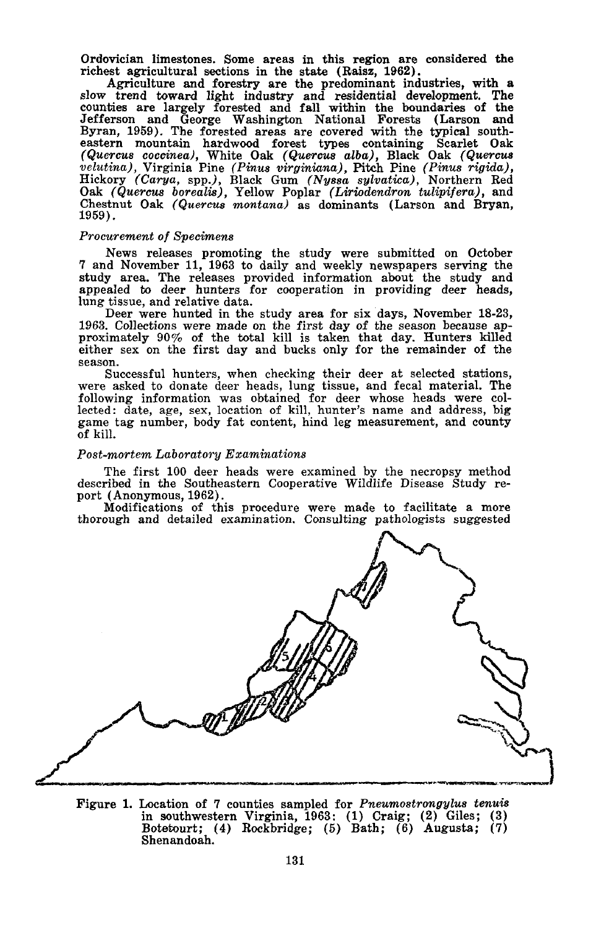Ordovician limestones. Some areas in this region are considered the

richest agricultural sections in the state (Raisz. 1962). Agriculture and forestry are the predominant industries. with <sup>a</sup> slow trend toward light industry and residential development. The counties are largely forested and fall within the boundaries of the Jefferson and George Washington National Forests (Larson and Byran, 1959). The forested areas are covered with the typical southeastern mountain hardwood forest types containing Scarlet Oak *(Quercus coccinea).* White Oak *(Quercus alba).* Black Oak *(Quercus velutina),* Virginia Pine *(Pinus virginiana),* Pitch Pine *(Pinus rigida),* Hickory *(Carya,* spp.). Black Gum *(Nyssa sylvatica)*, Northern Red Oak *(Quercus borealis),* Yellow Poplar *(Liriodendron tulipifera).* and Chestnut Oak *(Quercus montana)* as dominants (Larson and Bryan, 1959) .

#### *Procurement of Specimens*

News releases promoting the study were submitted on October 7 and November 11. 1963 to daily and weekly newspapers serving the study area. The releases provided information about the study and appealed to deer hunters for cooperation in providing deer heads. lung tissue, and relative data.

Deer were hunted in the study area for six days. November 18-23. 1963. Collections were made on the first day of the season because approximately 90% of the total kill is taken that day. Hunters killed either sex on the first day and bucks only for the remainder of the season.

Successful hunters, when checking their deer at selected stations, were asked to donate deer heads, lung tissue, and fecal material. The following information was obtained for deer whose heads were collected: date, age, sex, location of kill, hunter's name and address, big game tag number, body fat content. hind leg measurement, and county of kill.

## *Post-mortem Laboratory Examinations*

The first 100 deer heads were examined by the necropsy method described in the Southeastern Cooperative Wildlife Disease Study report (Anonymous, 1962).

Modifications of this procedure were made to facilitate <sup>a</sup> more thorough and detailed examination. Consulting pathologists suggested



Figure 1. Location of 7 counties sampled for *Pneumostrongylus tenuis* in southwestern Virginia, 1963: (1) Craig; (2) Giles; (3) Botetourt; (4) Rockbridge; (5) Bath; (6) Augusta; (7) Shenandoah.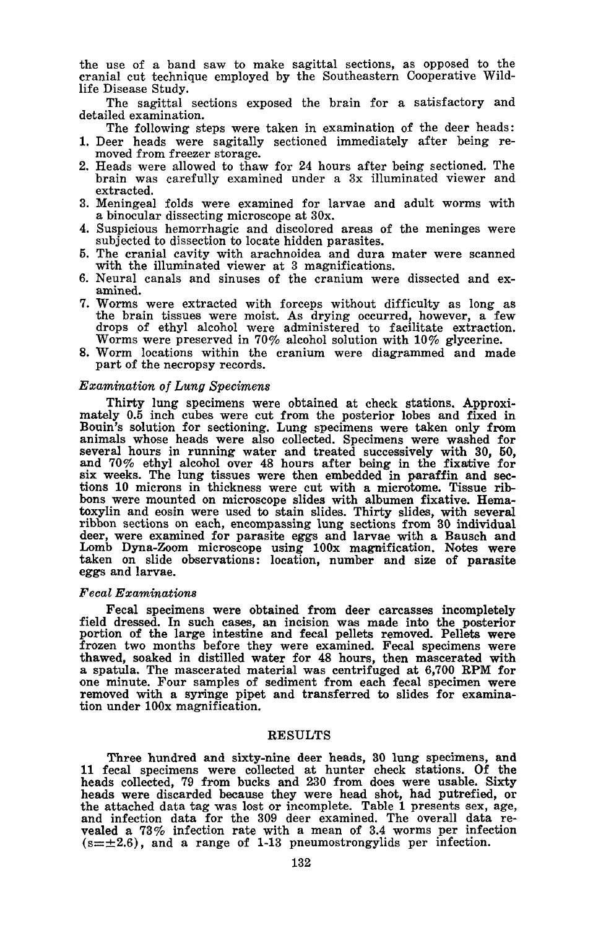the use of a band saw to make sagittal sections, as opposed to the cranial cut technique employed by the Southeastern Cooperative Wildlife Disease Study.

The sagittal sections exposed the brain for a satisfactory and detailed examination.

The following steps were taken in examination of the deer heads:

- 1. Deer heads were sagitally sectioned immediately after being re- moved from freezer storage.
- 2. Heads were allowed to thaw for 24 hours after being sectioned. The brain was carefully examined under a 3x illuminated viewer and extracted.
- 3. Meningeal folds were examined for larvae and adult worms with <sup>a</sup> binocular dissecting microscope at 30x.
- 4. Suspicious hemorrhagic and discolored areas of the meninges were subjected to dissection to locate hidden parasites.
- 5. The cranial cavity with arachnoidea and dura mater were scanned with the illuminated viewer at 3 magnifications.
- 6. Neural canals and sinuses of the cranium were dissected and ex-<br>amined.<br>7. Worms were extracted with forceps without difficulty as long as
- 7. Worms were extracted with forceps without difficulty as long as the brain tissues were moist. As drying occurred, however, <sup>a</sup> few drops of ethyl alcohol were administered to facilitate extraction. Worms were preserved in 70% alcohol solution with 10% glycerine.
- 8. Worm locations within the cranium were diagrammed and made part of the necropsy records.

#### *Examination of Lung Specimens*

Thirty lung specimens were obtained at check stations. Approximately 0.5 inch cubes were cut from the posterior lobes and fixed in Bouin's solution for sectioning. Lung specimens were taken only from animals whose heads were also collected. Specimens were washed for several hours in running water and treated successively with 30, 50, and  $70\%$  ethyl alcohol over 48 hours after being in the fixative for six weeks. The lung tissues were then embedded in paraffin and sections 10 microns in thickness were cut with a microtome. Tissue rib- bons were mounted on microscope slides with albumen fixative. Hematoxylin and eosin were used to stain slides. Thirty slides, with several ribbon sections on each, encompassing lung sections from 30 individual deer, were examined for parasite eggs and larvae with a Bausch and Lomb Dyna-Zoom microscope using 100x magnification. Notes were taken on slide observations: location, number and size of parasite eggs and larvae.

#### *Fecal Examinations*

Fecal specimens were obtained from deer carcasses incompletely field dressed. In such cases, an incision was made into the posterior portion of the large intestine and fecal pellets removed. Pellets were<br>frozen two months before they were examined. Fecal specimens were<br>frozen two months before they were examined. Fecal specimens were<br>thawed, soaked in d tion under 100x magnification.

## **RESULTS**

Three hundred and sixty-nine deer heads, 30 lung specimens, and 11 fecal specimens were collected at hunter check stations. Of the heads collected, 79 from bucks and 230 from does were usable. Sixty heads were discarded because they were head shot, had putrefied, or the attached data tag was lost or incomplete. Table <sup>1</sup> presents sex, age, and infection data for the <sup>309</sup> deer examined. The overall data re- vealed <sup>a</sup> 73% infection rate with <sup>a</sup> mean of 3.4 worms per infection  $(s=\pm 2.6)$ , and a range of 1-13 pneumostrongylids per infection.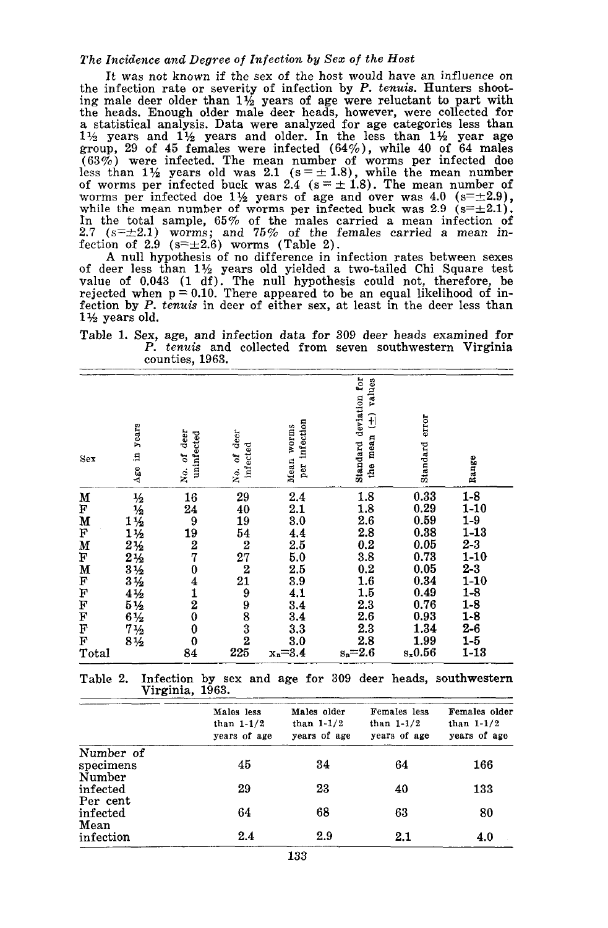## *The Incidence and Degree of Infection by Sex of the Host*

It was not known if the sex of the host would have an influence on the infection rate or severity of infection by P. *tenuis.* Hunters shooting male deer older than  $1\frac{1}{2}$  years of age were reluctant to part with the heads. Enough older male deer heads, however, were collected for <sup>a</sup> statistical analysis. Data were analyzed for age categories less than  $1\frac{1}{2}$  years and  $1\frac{1}{2}$  years and older. In the less than  $1\frac{1}{2}$  year age group, 29 of 45 females were infected (64%), while 40 of 64 males  $(63\%)$  were infected. The mean number of worms per infected doe less than  $1\frac{1}{2}$  years old was 2.1 (s =  $\pm$  1.8), while the mean number of worms per infected buck was 2.4 ( $s = \pm 1.8$ ). The mean number of worms per infected doe 11/2 years of age and over was 4.0  $(s=\pm 2.9)$ , while the mean number of worms per infected buck was 2.9  $(s=\pm 2.1)$ . In the total sample, 65% of the males carried a mean infection of 2.7 ( $s=\pm 2.1$ ) worms; and 75% of the females carried a mean infection of 2.9  $(s=\pm 2.6)$  worms (Table 2).

A null hypothesis of no difference in infection rates between sexes of deer less than  $1\frac{1}{2}$  years old yielded a two-tailed Chi Square test value of 0.043 (1 df). The null hypothesis could not, therefore, be rejected when  $p = 0.10$ . There appeared to be an equal likelihood of infection by P. *tenuis* in deer of either sex, at least in the deer less than 1% years old.

Table 1. Sex, age, and infection data for 309 deer heads examined for P. *tenuis* and collected from seven southwestern Virginia counties, 1963.

| Sex                                        | years<br>£,<br>Age               | deer<br>uninfected<br>No. of                                    | deer<br>infected<br>No. of                                                                             | infection<br>Mean worms<br>per                                                                       | Standard deviation for<br>values<br>Đ<br>mean<br>$\mathbf{f}$                                                   | error<br>Standard                                                                            | Range                                                                                                                    |
|--------------------------------------------|----------------------------------|-----------------------------------------------------------------|--------------------------------------------------------------------------------------------------------|------------------------------------------------------------------------------------------------------|-----------------------------------------------------------------------------------------------------------------|----------------------------------------------------------------------------------------------|--------------------------------------------------------------------------------------------------------------------------|
| M<br>F<br>M<br>F<br>M<br>F<br>MFFFFFF<br>F | 11223345633456<br>$7\frac{1}{2}$ | 16<br>24<br>$\frac{19}{19}$<br>7<br>$0\ 4\ 1\ 2\ 0$<br>$\bf{0}$ | 29<br>40<br>19<br>$\frac{54}{2}$<br>$\frac{27}{2}$<br>$\frac{21}{9}$<br>$\frac{9}{8}$<br>$\frac{3}{2}$ | 2.4<br>2.1<br>3.0<br>$\frac{4.4}{2.5}$<br>5.0<br>$\bf 2.5$<br>3.9<br>4.1<br>$\frac{3.4}{3.4}$<br>3.3 | 1.8<br>1.8<br>2.6<br>2.8<br>0.2<br>3.8<br>0.2<br>$\begin{array}{c} 1.6 \\ 1.5 \end{array}$<br>2.3<br>2.6<br>2.3 | 0.33<br>0.29<br>0.59<br>0.38<br>0.05<br>0.73<br>0.05<br>0.34<br>0.49<br>0.76<br>0.93<br>1.34 | $1 - 8$<br>$1-10$<br>$1-9$<br>$1 - 13$<br>$2-3$<br>$1-10$<br>$2 - 3$<br>$1 - 10$<br>$1-8$<br>$1 - 8$<br>$1 - 8$<br>$2-6$ |
| F<br>Total                                 | $8\frac{1}{2}$                   | $\mathbf 0$<br>84                                               | 225                                                                                                    | 3.0<br>$x_n = 3.4$                                                                                   | 2.8<br>$s_n = 2.6$                                                                                              | 1.99<br>$s_x 0.56$                                                                           | $1-5$<br>$1 - 13$                                                                                                        |

Table 2. Infection by sex and age for 309 deer heads, southwestern Virginia, 1963.

|           | Males less<br>than $1-1/2$<br>years of age | Males older<br>than $1-1/2$<br>years of age | Females less<br>than $1-1/2$<br>years of age | Females older<br>than $1-1/2$<br>years of age |
|-----------|--------------------------------------------|---------------------------------------------|----------------------------------------------|-----------------------------------------------|
| Number of |                                            |                                             |                                              |                                               |
| specimens | 45                                         | 34                                          | 64                                           | 166                                           |
| Number    |                                            |                                             |                                              |                                               |
| infected  | 29                                         | 23                                          | 40                                           | 133                                           |
| Per cent  |                                            |                                             |                                              |                                               |
| infected  | 64                                         | 68                                          | 63                                           | 80                                            |
| Mean      |                                            |                                             |                                              |                                               |
| infection | 2.4                                        | 2.9                                         | 2.1                                          | 4.0                                           |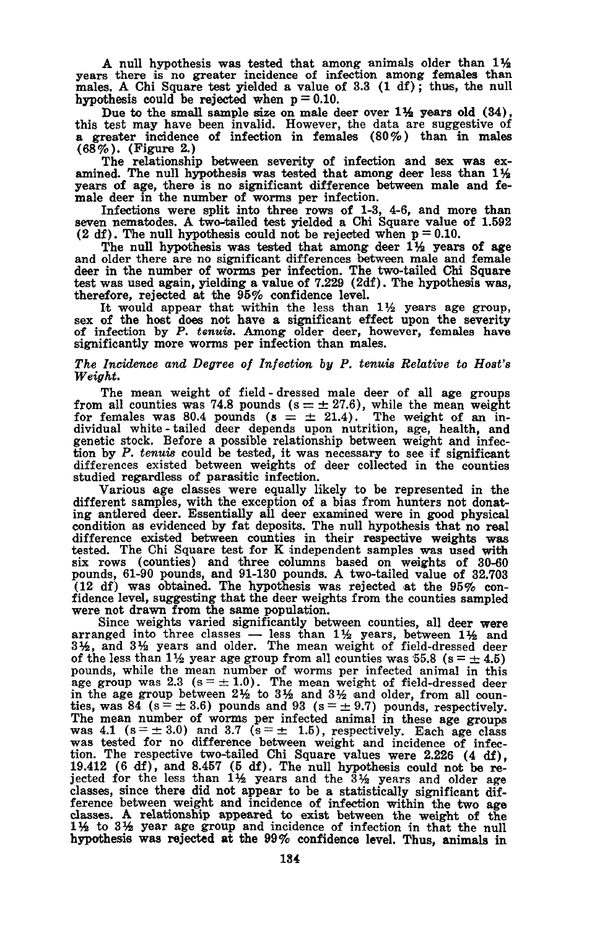A null hypothesis was tested that among animals older than  $1\frac{1}{2}$  years there is no greater incidence of infection among females than males. A Chi Square test yielded a value of 3.3 (1 df); thus, the null hypothesis could be rejected when  $p = 0.10$ .

Due to the small sample size on male deer over  $1\frac{1}{2}$  years old (34), this test may have been invalid. However, the data are suggestive of a greater incidence of infection in females (80%) than in males (68%). (Figure 2.)

The relationship between severity of infection and sex was ex-<br>amined. The null hypothesis was tested that among deer less than  $1\frac{1}{2}$ years of age, there is no significant difference between male and female deer in the number of worms per infection.

Infections were split into three rows of 1-3, 4-6, and more than seven nematodes. <sup>A</sup> two-tailed test yielded <sup>a</sup> Chi Square value of 1.692 (2 df). The null hypothesis could not be rejected when  $p = 0.10$ .

The null hypothesis was tested that among deer  $1\frac{1}{2}$  years of age and older there are no significant differences between male and female deer in the number of worms per infection. The two-tailed Chi Square test was used again, yielding a value of 7.229 (2df). The hypothesis was, therefore, rejected at the  $95\%$  confidence level.<br>It would appear that within the less than  $1\frac{1}{2}$  years age group,

sex of the host does not have a significant effect upon the severity of infection by P. *tenuis.* Among older deer, however, females have significantly more worms per infection than males.

## *The Incidence and Degree of Infection by P. tenuis Relative to Host's Weight.*

The mean weight of field - dressed male deer of all age groups from all counties was 74.8 pounds  $(s = \pm 27.6)$ , while the mean weight for females was 80.4 pounds  $(s = \pm 21.4)$ . The weight of an individual white - tailed deer depends upon nutrition, age, health, and genetic stock. Before a possible relationship between weight and infection by *P. tenuis* could be tested, it was necessary to see if significant differences existed between weights of deer collected in the counties studied regardless of parasitic infection.

Various age classes were equally likely to be represented in the different samples, with the exception of a bias from hunters not donat-ingantlered deer. Essentially all deer examined were in good physical condition as evidenced by fat deposits. The null hypothesis that no real difference existed between counties in their respective weights was tested. The Chi Square test for <sup>K</sup> independent samples was used with six rows (counties) and three columns based on weights of 30-60 pounds, 61-90 pounds, and 91-130 pounds. A two-tailed value of 32.703 (12 df) was obtained. The hypothesis was rejected at the 95% con-<br>fidence level, suggesting that the deer weights from the counties sampled<br>were not drawn from the same population.<br>Since weights varied significantly betwe

Since weights varied significantly between counties, all deer were arranged into three classes  $-$  less than 1% years, between 1% and 3%, and 3% years and older. The mean weight of field-dressed deer of the less than 1½ year age group from all counties was 55.8 (s =  $\pm$  4.5) pounds, while the mean number of worms per infected animal in this age group was 2.3  $(s = \pm 1.0)$ . The mean weight of field-dressed deer in the age group between  $2\frac{1}{2}$  to  $3\frac{1}{2}$  and  $3\frac{1}{2}$  and older, from all coun-<br>ties, was 84 (s = ± 3.6) pounds and 93 (s = ± 9.7) pounds, respectively. The mean number of worms per infected animal in these age groups was 4.1 ( $s = \pm 3.0$ ) and 3.7 ( $s = \pm 1.5$ ), respectively. Each age class was tested for no difference between weight and incidence of infection. The respective two-tailed Chi Square values were 2.226 (4 df), 19.412 (6 df), and 8.457 (5 df). The null hypothesis could not be rejected for the less than  $1\frac{1}{2}$  years and the  $3\frac{1}{2}$  years and older age classes, since there did not appear to be a statistically significant difference between weight and incidence of infection within the two age classes. A relationship appeared to exist between the weight of the 1% to 3% year age group and incidence of infection in that the null hypothesis was rejected at the 99% confidence level. Thus, animals in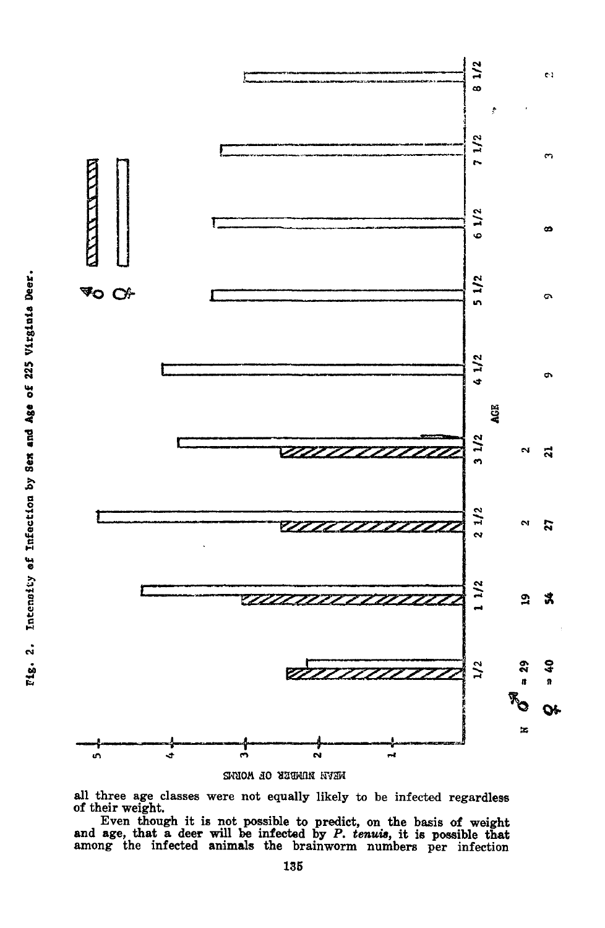

all three age classes were not equally likely to be infected regardless of their weight.

Even though it is not possible to predict, on the basis of weight and age, that <sup>a</sup> deer will 'be infected by P. *tenuv,* it is possible that among the infected animals the brainworm numbers per infection

.<br>.<br>.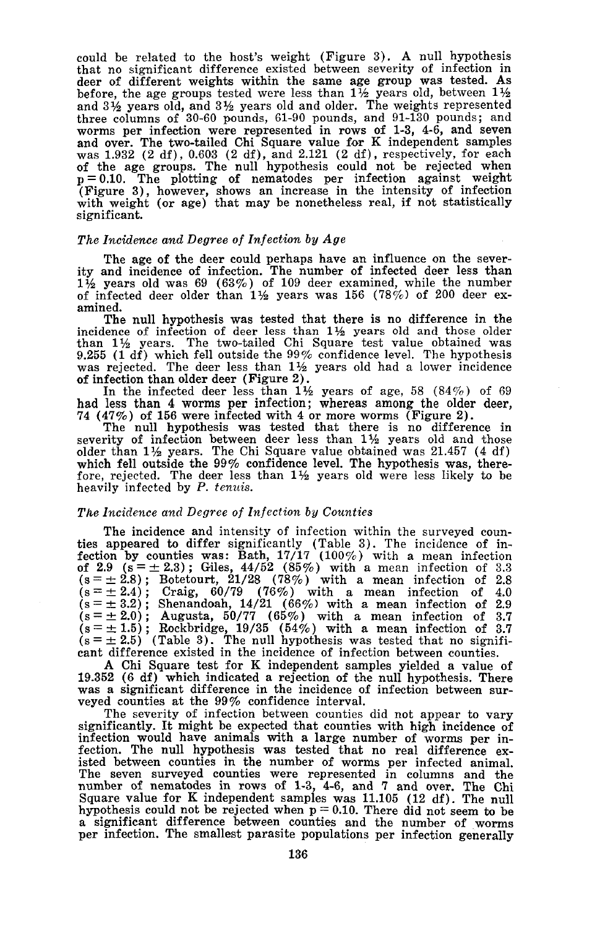could be related to the host's weight (Figure 3). A null hypothesis that no significant difference existed between severity of infection in deer of different weights within the same age group was tested. As before, the age groups tested were less than  $1\frac{1}{2}$  years old, between  $1\frac{1}{2}$ and 3% years old, and 3% years old and older. The weights represented three columns of 30-60 pounds, 61-90 pounds, and 91-130 pounds; and worms per infection were represented in rows of 1-3, 4-6, and seven and over. The two-tailed Chi Square value for K independent samples was 1.932 (2 df), 0.603 (2 df), and 2.121 (2 df), respectively, for each of the age groups. The null hypothesis could not be rejected when  $p = 0.10$ . The plotting of nematodes per infection against weight (Figure 3), however, shows an increase in the intensity of infection with weight (or age) significant.

## *The Incidence and Degree of Infection by Age*

The age of the deer could perhaps have an influence on the sever- ity and incidence of infection. The number of infected deer less than  $1\frac{1}{2}$  years old was 69 (63%) of 109 deer examined, while the number of infected deer older than 1% years was 156 (78 *0/0)* of 200 deer examined.

The null hypothesis was tested that there is no difference in the incidence of infection of deer less than  $1\frac{1}{2}$  years old and those older than  $1\frac{1}{2}$  years. The two-tailed Chi Square test value obtained was 9.255 (1 df) which fell outside the 99% confidence level. The hypothesis was rejected. The deer less than  $1\frac{1}{2}$  years old had a lower incidence of infection than older deer (Figure 2).

In the infected deer less than  $1\frac{1}{2}$  years of age, 58 (84%) of 69 had less than 4 worms per infection; whereas among the older deer, 74 (47%) of 156 were infected with 4 or more worms (Figure 2). The null hypothesis was tested that there is no difference in

severity of infection between deer less than  $1\frac{1}{2}$  years old and those older than 1½ years. The Chi Square value obtained was 21.457 (4 df) which fell outside the 99% confidence level. The hypothesis was, therefore, rejected. The deer less than  $1\frac{1}{2}$  years old were less likely to be heavily infected by P. *tenuis.*

#### *The Incidence and Degree of Infection by Counties*

The incidence and intensity of infection within the surveyed coun- ties appeared to differ significantly (Table 3). The incidence of infection by counties was: Bath,  $17/17$  ( $100\%$ ) with a mean infection of 3.3 of 2.9 (s =  $\pm$  2.3); Giles, 44/52 (85%) with a mean infection of 3.3  $(s = \pm 2.8)$ ; Botetourt, 21/28 (78%) with a mean infection of 2.8  $(s = \pm 2.4)$ ; Craig, 60/79 (76%) with a mean infection of 4.0  $(s = \pm 3.2)$ ; Shenandoah, 14/21 (66%) with a mean infection of 2.9  $(s = \pm 2.0)$ ; Augusta, 50/77 (65%) with a mean infection of 3.7  $(s = \pm 1.5)$ ; Rockbridge, 19/35 (54%) with a mean infection of 3.7  $(s = \pm 2.5)$  (Table 3). The null hypothesis was tested that no significant difference existed in the incidence of infection between counties.

A Chi Square test for K independent samples yielded a value of was a significant difference in the incidence of infection between sur-<br>veyed counties at the 99% confidence interval.

The severity of infection between counties did not appear to vary significantly. It might be expected that counties with high incidence of infection would have animals with a large number of worms per in-<br>fection. The null hypothesis was tested that no real difference exfection. The null hypothesis was tested that no real difference ex- isted between counties in the number of worms per infected animal. The seven surveyed counties were represented in columns and the number of nematodes in rows of 1-3, 4-6, and 7 and over. The Chi Square value for K independent samples was 11.105 (12 df). The null hypothesis could not be rejected when  $p = 0.10$ . There did not seem to be a significant difference between counties and the number of worms per infection. The smallest parasite populations per infection generally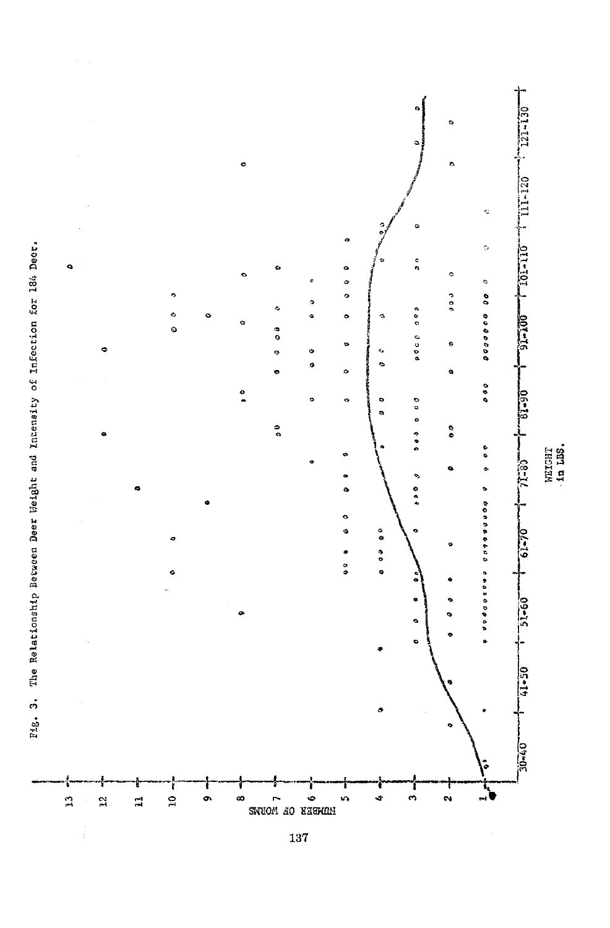

 $137$ 

The Relationship Bec~een Deer Weight and Intensity of Infection for 184 Deer. Fig. 3. The Relationship Between Deer Weight and Intensity of Infection for 186 Deer.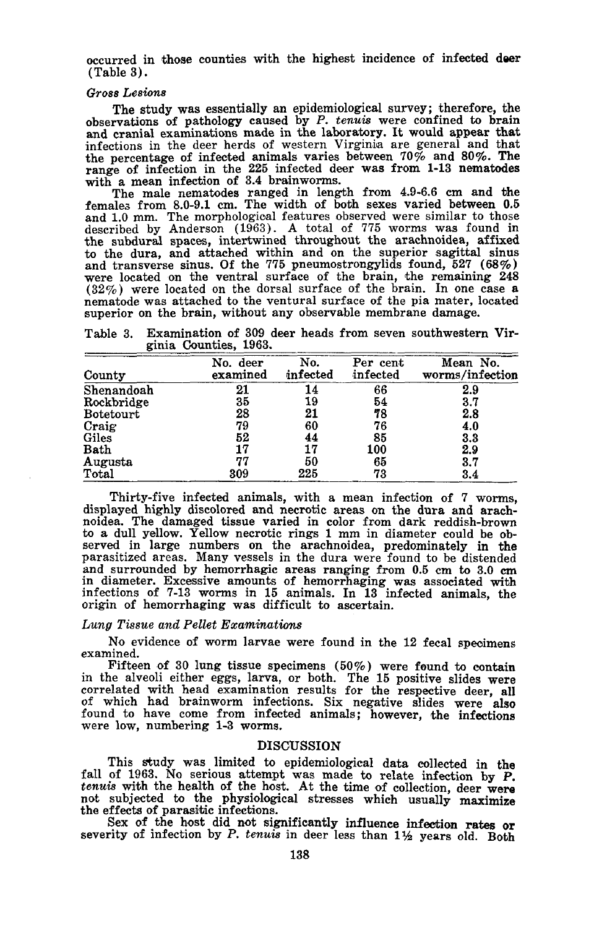occurred in those counties with the highest incidence of infected deer (Table 3).

#### *Gross Lesions*

The study was essentially an epidemiological survey; therefore, the observations of pathology caused by P. *tenuis* were confined to brain and cranial examinations made in the laboratory. It would appear that infections in the deer herds of western Virginia are general and that the percentage of infected animals varies between 70% and 80%. The range of infection in the 225 infected deer was from 1-13 nematodes with a mean infection of 3.4 brainworms.

The male nematodes ranged in length from 4.9-6.6 cm and the females from 8.0-9.1 cm. The width of both sexes varied between 0.5 and 1.0 mm. The morphologioal features observed were similar to those described by Anderson (1963). A total of 775 worms was found in the subdural spaces, intertwined throughout the arachnoidea, affixed to the dura, and attached within and on the superior sagittal sinus and transverse sinus. Of the 775 pneumostrongylids found,  $527$  (68%) were located on the ventral surface of the brain, the remaining 248  $(32\%)$  were located on the dorsal surface of the brain. In one case a nematode was attached to the ventural surface of the pia mater, located superior on the brain, without any observable membrane damage.

Table 3. Examination of 309 deer heads from seven southwestern Virginia Counties, 1963.

| County           | No.<br>deer<br>examined | No.<br>infected | Per cent<br>infected | Mean No.<br>worms/infection |
|------------------|-------------------------|-----------------|----------------------|-----------------------------|
| Shenandoah       | 21                      | 14              | 66                   | 2.9                         |
| Rockbridge       | 35                      | 19              | 54                   | 3.7                         |
| <b>Botetourt</b> | 28                      | 21              | 78                   | 2.8                         |
| Craig            | 79                      | 60              | 76                   | 4.0                         |
| Giles            | 52                      | 44              | 85                   | 3.3                         |
| <b>Bath</b>      | 17                      | 17              | 100                  | 2.9                         |
| Augusta          | 77                      | 50              | 65                   | 3.7                         |
| Total            | 309                     | 225             | 73                   | 3.4                         |

Thirty-five infeeted animals, with a mean infection of 7 worms, displayed highly discolored and necrotic areas on the dura and arachnoidea. The damaged tissue varied in color from dark reddish-brown to a dull yellow. Yellow necrotic rings 1 mm in diameter could be observed in large numbers on the arachnoidea, predominately in the parasitized areas. Many vessels in the dura were found to be distended and surrounded by hemorrhagic areas ranging from 0.5 cm to 3.0 em in diameter. Excessive amounts of hemorrhaging was associated with infections of 7-13 worms in 15 animals. In 13 infected animals, the origin of hemorrhaging was difficult to ascertain.

#### *Lung Tissue and Pellet Examinations*

No evidence of worm larvae were found in the <sup>12</sup> fecal specimens examined.

Fifteen of 30 lung tissue specimens  $(50\%)$  were found to contain in the alveoli either eggs, larva, or both. The 15 positive slides were correlated with head examination results for the respective deer, all of which had brainworm infections. Six negative slides were also found to have come from infected animals; however, the infections were low, numbering 1-3 worms.

## DISOUSSION

This study was limited to epidemiological data collected in the fall of 1963. No serious attempt was made to relate infection by P.<br>tenuis with the health of the host. At the time of collection, deer were tenuis with the health of the host. At the time of collection, deer were<br>not subjected to the physiological stresses which usually maximize<br>the effects of parasitic infections.

Sex of the host did not significantly influenee infection rates or severity of infection by P. *tenuis* in deer less than 1% years old. Both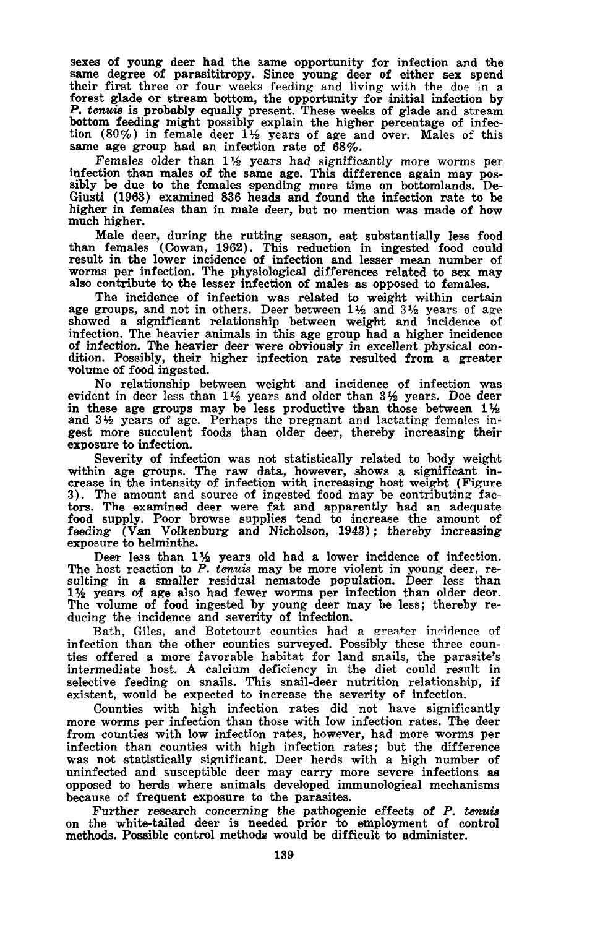sexes of young deer had the same opportunity for infection and the same degree of parasititropy. Since young deer of either sex spend their first three or four weeks feeding and living with the doe in <sup>a</sup> forest glade or stream bottom, the opportunity for initial infection by P. *tenuis* is probably equally present. These weeks of glade and stream bottom feeding might possibly explain the higher percentage of infection (80%) in female deer <sup>1</sup>% years of age and over. Males of this same age group had an infection rate of 68%.

Females older than  $1\frac{1}{2}$  years had significantly more worms per infection than males of the same age. This difference again may possibly be due to the females spending more time on bottomlands. De-Giusti (1963) examined 836 heads and found the infection rate to be higher in females than in male deer, but no mention was made of how much higher.

Male deer, during the rutting season, eat substantially less food than females (Cowan, 1962). This reduction in ingested food could result in the lower incidence of infection and lesser mean number of worms per infection. The physiological differences related to sex may worms per infection. The physiological differences related to sex may also contribute to the lesser infection of males as opposed to females.

The incidence of infection was related to weight within certain age groups, and not in others. Deer between  $1\frac{1}{2}$  and  $3\frac{1}{2}$  years of age showed a significant relationship between weight and incidence of infection. The heavier animals in this age group had a higher incidence of infection. The heavier deer were obviously in excellent physical con- dition. Possibly, their higher infection rate resulted from <sup>a</sup> greater volume of food ingested.

No relationship between weight and incidence of infection was evident in deer less than  $1\frac{1}{2}$  years and older than  $3\frac{1}{2}$  years. Doe deer evident in deer less than  $1\frac{1}{2}$  years and older than  $3\frac{1}{2}$  years. Doe deer evident in deer less than  $1\frac{1}{2}$  years and older than  $3\frac{1}{2}$  years. Doe deer in these age groups may be less productive than those between  $1\frac{1}{2}$ and 3% years of age. Perhaps the pregnant and lactating females ingest more succulent foods than older deer, thereby increasing their exposure to infection.

Severity of infection was not statistically related to body weight within age groups. The raw data, however, shows <sup>a</sup> significant in- crease in the intensity of infection with increasing host weight (Figure 3). The amount and source of ingested food may be contributing fac-tors. The examined deer were fat and apparently had an adequate food supply. Poor browse supplies tend to increase the amount of feeding (Van Volkenburg and Nicholson, 1943); thereby increasing exposure to helminths.

exposure to hemintuis.<br>Deer less than 1½ years old had a lower incidence of infection.<br>The host reaction to P. *tenuis* may be more violent in young deer, re-<br>sulting in a smaller residual nematode population. Deer less th 11/2 years of age also had fewer worms per infection than older deer. The volume of food ingested by young deer may be less; thereby re- ducing the incidence and severity of infection.

Bath, Giles, and Botetourt counties had a greater incidence of infection than the other counties surveyed. Possibly these three coun-<br>ties offered a more favorable habitat for land snails, the parasite's intermediate host. A calcium deficiency in the diet could result in selective feeding on snails. This snail-deer nutrition relationship, if existent, would be expected to increase the severity of infection.

Counties with high infection rates did not have significantly more worms per infection than those with low infection rates. The deer from counties with low infection rates, however, had more worms per infection than counties with high infection rates; but the difference was not statistically significant. Deer herds with <sup>a</sup> high number of uninfected and susceptible deer may carry more severe infections as opposed to herds where animals developed immunological mechanisms because of frequent exposure to the parasites.

Further research concerning the pathogenic effects of P. *tenuis* on the white-tailed deer is needed prior to employment of control methods. Possible control methods would be difficult to administer.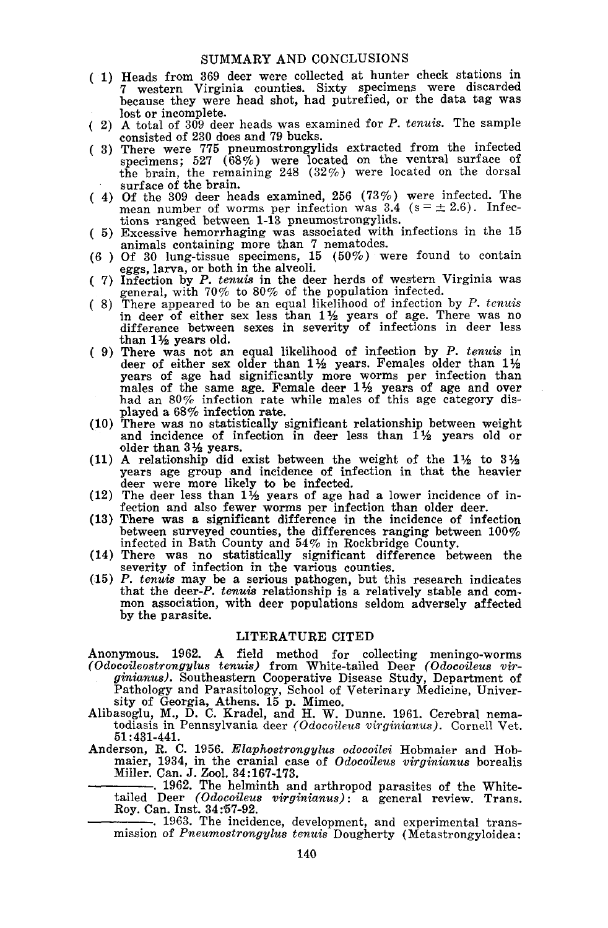## SUMMARY AND CONCLUSIONS

- ( 1) Heads from 369 deer were collected at hunter check stations in 7 western Virginia counties. Sixty specimens were discarded because they were head shot, had putrefied, or the data tag was
- ( 2) A total of 309 deer heads was examined for P. *tenuis*. The sample consisted of 230 does and 79 bucks.
- ( 3) There were 775 pneumostrongylids extracted from the infected specimens; 527 (68%) were located on the ventral surface of the brain, the remaining 248 (32%) were located on the dorsal surface of the brain.
- ( 4) Of the 309 deer heads examined, 256 (73%) were infected. The mean number of worms per infection was 3.4 ( $s = \pm 2.6$ ). Infections ranged between 1-13 pneumostrongylids.
- ( 5) Excessive hemorrhaging was associated with infections in the 15 animals containing more than 7 nematodes.
- $(6)$  Of 30 lung-tissue specimens, 15  $(50\%)$  were found to contain eggs, larva, or both in the alveoli.
- ( 7) Infection by P. *tenuis* in the deer herds of western Virginia was general, with *700/0* to 80% of the population infected.
- ( 8) There appeared to be an equal likelihood of infection by  $P$ . *tenuis* in deer of either sex less than  $1\frac{1}{2}$  years of age. There was no difference between sexes in severity of infections in deer less than 1% years old.
- ( 9) There was not an equal likeUhood of infection by P. *tenuis* in deer of either sex older than  $1\frac{1}{2}$  years. Females older than  $1\frac{1}{2}$ years of age had significantly more worms per infection than males of the same age. Female deer  $1\frac{1}{2}$  years of age and over had an 80% infection rate while males of this age category displayed a 68% infection rate.
- (10) There was no statistically significant relationship between weight and incidence of infection in deer less than  $1\frac{1}{2}$  years old or older than  $3\frac{1}{2}$  years.
- (11) A relationship did exist between the weight of the  $1\frac{1}{2}$  to  $3\frac{1}{2}$ years age group and incidence of infection in that the heavier deer were more likely to be infected.
- (12) The deer less than  $1\frac{1}{2}$  years of age had a lower incidence of infection and also fewer worms per infection than older deer.
- (13) There was a significant difference in the incidence of infection between surveyed counties, the differences ranging between 100% infected in Bath County and 54% in Rockbridge County.
- (14) There was no statistically significant difference between the severity of infection in the various counties.
- (15) P. *tenuis* may be a serious pathogen, but this research indicates mon association, with deer populations seldom adversely affected by the parasite.

## LITERATURE CITED

Anonymous. 1962. A field method for collecting meningo-worms *(Odocoileostrongylus tenuis)* from White-tailed Deer *(Odocoileus virginianus).* Southeastern Cooperative Disease Study, Department of

Pathology and Parasitology, School of Veterinary Medicine, University of Georgia, Athens. 15 p. Mimeo.

- Alibasoglu, M., D. C. Kradel, and H. W. Dunne. 1961. Cerebral nema- todiasis in Pennsylvania deer *(Odocoileus virginianus).* Cornell Vet. 51 :431-441.
- Anderson, R. C. 1956. *Elaphostrongylus odocoilei* Hobmaier and Hobmaier, 1934, in the cranial case of *Odocoileus virginianus* borealis maier, 1954, in the cranial case of *Odocoueus virginianus* boreans<br>Miller. Can. J. Zool. 34:167-173.<br>1962. The helminth and arthropod parasites of the White-<br>tailed the Codocoileus wirginianus) a general priory. There

tailed Deer *(Odocoileus virginianus):* a general review. Trans. Roy. Can. Inst. 34:57-92.

-. 1963. The incidence, development, and experimental transmission of *Pneumostrongylus tenuis* Dougherty (Metastrongyloidea: